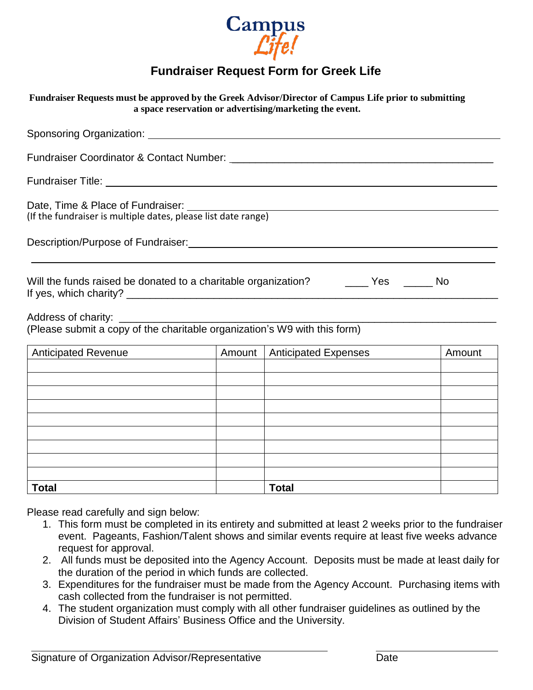

## **Fundraiser Request Form for Greek Life**

| Fundraiser Requests must be approved by the Greek Advisor/Director of Campus Life prior to submitting<br>a space reservation or advertising/marketing the event. |  |                               |        |  |  |  |
|------------------------------------------------------------------------------------------------------------------------------------------------------------------|--|-------------------------------|--------|--|--|--|
| Sponsoring Organization: Sponsoring Organization:                                                                                                                |  |                               |        |  |  |  |
|                                                                                                                                                                  |  |                               |        |  |  |  |
|                                                                                                                                                                  |  |                               |        |  |  |  |
| Date, Time & Place of Fundraiser:<br>(If the fundraiser is multiple dates, please list date range)                                                               |  |                               |        |  |  |  |
| Description/Purpose of Fundraiser:<br><u>Description/Purpose of Fundraiser:</u>                                                                                  |  |                               |        |  |  |  |
| Will the funds raised be donated to a charitable organization? ________ Yes _______ No                                                                           |  |                               |        |  |  |  |
|                                                                                                                                                                  |  |                               |        |  |  |  |
| Anticipated Revenue                                                                                                                                              |  | Amount   Anticipated Expenses | Amount |  |  |  |
|                                                                                                                                                                  |  |                               |        |  |  |  |
|                                                                                                                                                                  |  |                               |        |  |  |  |
|                                                                                                                                                                  |  |                               |        |  |  |  |
|                                                                                                                                                                  |  |                               |        |  |  |  |
|                                                                                                                                                                  |  |                               |        |  |  |  |
|                                                                                                                                                                  |  |                               |        |  |  |  |
|                                                                                                                                                                  |  |                               |        |  |  |  |
| <b>Total</b>                                                                                                                                                     |  | <b>Total</b>                  |        |  |  |  |

Please read carefully and sign below:

- 1. This form must be completed in its entirety and submitted at least 2 weeks prior to the fundraiser event. Pageants, Fashion/Talent shows and similar events require at least five weeks advance request for approval.
- 2. All funds must be deposited into the Agency Account. Deposits must be made at least daily for the duration of the period in which funds are collected.
- 3. Expenditures for the fundraiser must be made from the Agency Account. Purchasing items with cash collected from the fundraiser is not permitted.
- 4. The student organization must comply with all other fundraiser guidelines as outlined by the Division of Student Affairs' Business Office and the University.